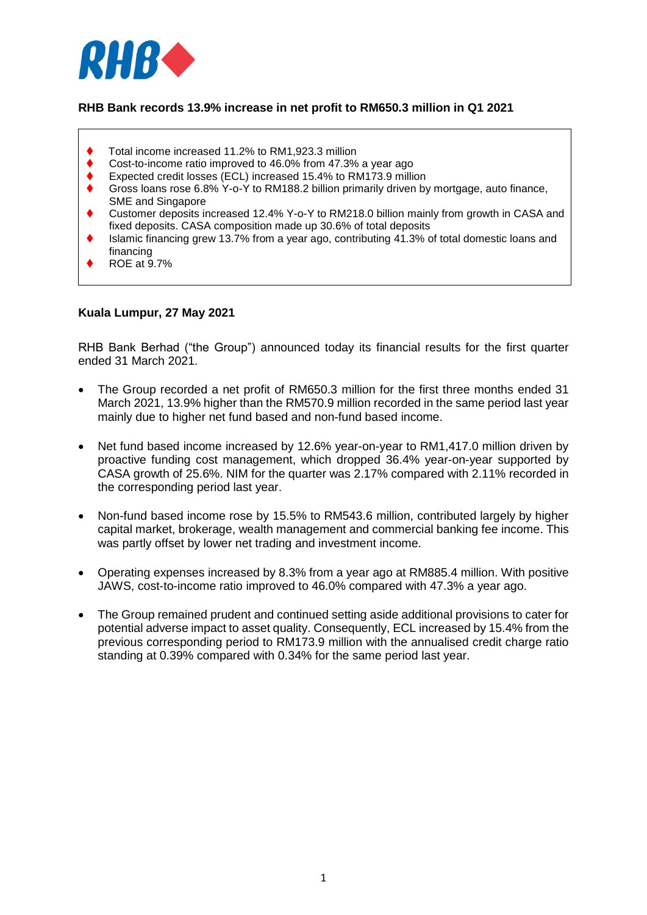

# **RHB Bank records 13.9% increase in net profit to RM650.3 million in Q1 2021**

- Total income increased 11.2% to RM1,923.3 million
- Cost-to-income ratio improved to 46.0% from 47.3% a year ago
- Expected credit losses (ECL) increased 15.4% to RM173.9 million
- Gross loans rose 6.8% Y-o-Y to RM188.2 billion primarily driven by mortgage, auto finance, SME and Singapore
- Customer deposits increased 12.4% Y-o-Y to RM218.0 billion mainly from growth in CASA and fixed deposits. CASA composition made up 30.6% of total deposits
- Islamic financing grew 13.7% from a year ago, contributing 41.3% of total domestic loans and financing
- ROE at 9.7%

#### **Kuala Lumpur, 27 May 2021**

RHB Bank Berhad ("the Group") announced today its financial results for the first quarter ended 31 March 2021.

- The Group recorded a net profit of RM650.3 million for the first three months ended 31 March 2021, 13.9% higher than the RM570.9 million recorded in the same period last year mainly due to higher net fund based and non-fund based income.
- Net fund based income increased by 12.6% year-on-year to RM1,417.0 million driven by proactive funding cost management, which dropped 36.4% year-on-year supported by CASA growth of 25.6%. NIM for the quarter was 2.17% compared with 2.11% recorded in the corresponding period last year.
- Non-fund based income rose by 15.5% to RM543.6 million, contributed largely by higher capital market, brokerage, wealth management and commercial banking fee income. This was partly offset by lower net trading and investment income.
- Operating expenses increased by 8.3% from a year ago at RM885.4 million. With positive JAWS, cost-to-income ratio improved to 46.0% compared with 47.3% a year ago.
- The Group remained prudent and continued setting aside additional provisions to cater for potential adverse impact to asset quality. Consequently, ECL increased by 15.4% from the previous corresponding period to RM173.9 million with the annualised credit charge ratio standing at 0.39% compared with 0.34% for the same period last year.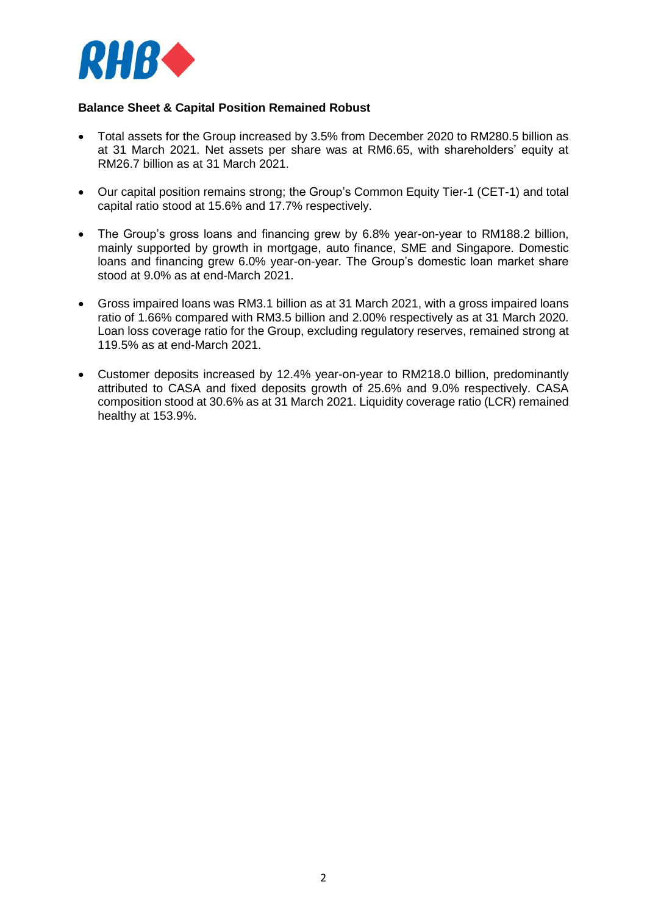

# **Balance Sheet & Capital Position Remained Robust**

- Total assets for the Group increased by 3.5% from December 2020 to RM280.5 billion as at 31 March 2021. Net assets per share was at RM6.65, with shareholders' equity at RM26.7 billion as at 31 March 2021.
- Our capital position remains strong; the Group's Common Equity Tier-1 (CET-1) and total capital ratio stood at 15.6% and 17.7% respectively.
- The Group's gross loans and financing grew by 6.8% year-on-year to RM188.2 billion, mainly supported by growth in mortgage, auto finance, SME and Singapore. Domestic loans and financing grew 6.0% year-on-year. The Group's domestic loan market share stood at 9.0% as at end-March 2021.
- Gross impaired loans was RM3.1 billion as at 31 March 2021, with a gross impaired loans ratio of 1.66% compared with RM3.5 billion and 2.00% respectively as at 31 March 2020. Loan loss coverage ratio for the Group, excluding regulatory reserves, remained strong at 119.5% as at end-March 2021.
- Customer deposits increased by 12.4% year-on-year to RM218.0 billion, predominantly attributed to CASA and fixed deposits growth of 25.6% and 9.0% respectively. CASA composition stood at 30.6% as at 31 March 2021. Liquidity coverage ratio (LCR) remained healthy at 153.9%.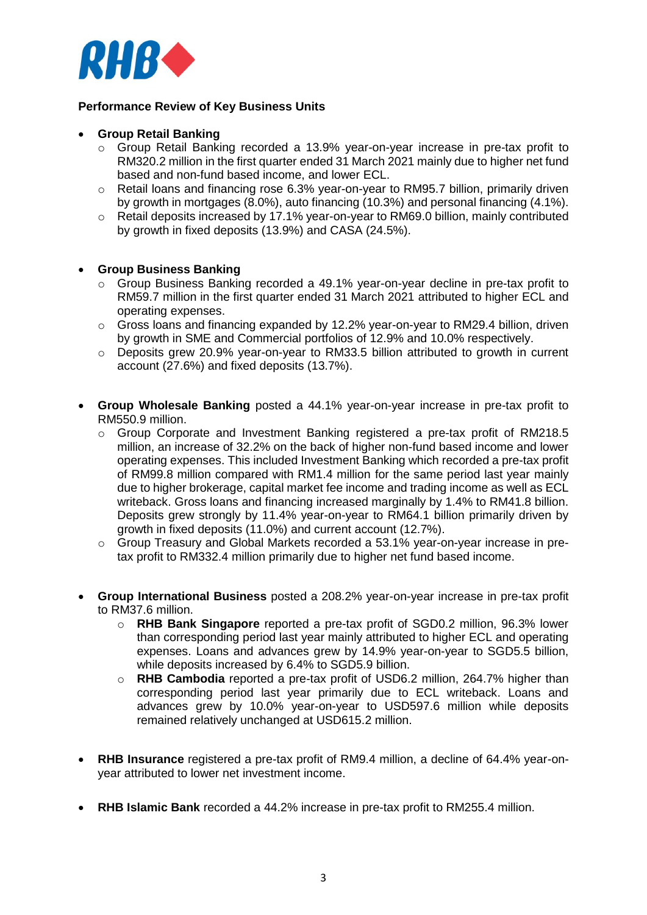

## **Performance Review of Key Business Units**

#### **Group Retail Banking**

- o Group Retail Banking recorded a 13.9% year-on-year increase in pre-tax profit to RM320.2 million in the first quarter ended 31 March 2021 mainly due to higher net fund based and non-fund based income, and lower ECL.
- $\circ$  Retail loans and financing rose 6.3% year-on-year to RM95.7 billion, primarily driven by growth in mortgages (8.0%), auto financing (10.3%) and personal financing (4.1%).
- $\circ$  Retail deposits increased by 17.1% year-on-year to RM69.0 billion, mainly contributed by growth in fixed deposits (13.9%) and CASA (24.5%).

### **Group Business Banking**

- $\circ$  Group Business Banking recorded a 49.1% year-on-year decline in pre-tax profit to RM59.7 million in the first quarter ended 31 March 2021 attributed to higher ECL and operating expenses.
- $\circ$  Gross loans and financing expanded by 12.2% year-on-year to RM29.4 billion, driven by growth in SME and Commercial portfolios of 12.9% and 10.0% respectively.
- o Deposits grew 20.9% year-on-year to RM33.5 billion attributed to growth in current account (27.6%) and fixed deposits (13.7%).
- **Group Wholesale Banking** posted a 44.1% year-on-year increase in pre-tax profit to RM550.9 million.
	- $\circ$  Group Corporate and Investment Banking registered a pre-tax profit of RM218.5 million, an increase of 32.2% on the back of higher non-fund based income and lower operating expenses. This included Investment Banking which recorded a pre-tax profit of RM99.8 million compared with RM1.4 million for the same period last year mainly due to higher brokerage, capital market fee income and trading income as well as ECL writeback. Gross loans and financing increased marginally by 1.4% to RM41.8 billion. Deposits grew strongly by 11.4% year-on-year to RM64.1 billion primarily driven by growth in fixed deposits (11.0%) and current account (12.7%).
	- o Group Treasury and Global Markets recorded a 53.1% year-on-year increase in pretax profit to RM332.4 million primarily due to higher net fund based income.
- **Group International Business** posted a 208.2% year-on-year increase in pre-tax profit to RM37.6 million.
	- o **RHB Bank Singapore** reported a pre-tax profit of SGD0.2 million, 96.3% lower than corresponding period last year mainly attributed to higher ECL and operating expenses. Loans and advances grew by 14.9% year-on-year to SGD5.5 billion, while deposits increased by 6.4% to SGD5.9 billion.
	- o **RHB Cambodia** reported a pre-tax profit of USD6.2 million, 264.7% higher than corresponding period last year primarily due to ECL writeback. Loans and advances grew by 10.0% year-on-year to USD597.6 million while deposits remained relatively unchanged at USD615.2 million.
- **RHB Insurance** registered a pre-tax profit of RM9.4 million, a decline of 64.4% year-onyear attributed to lower net investment income.
- **RHB Islamic Bank** recorded a 44.2% increase in pre-tax profit to RM255.4 million.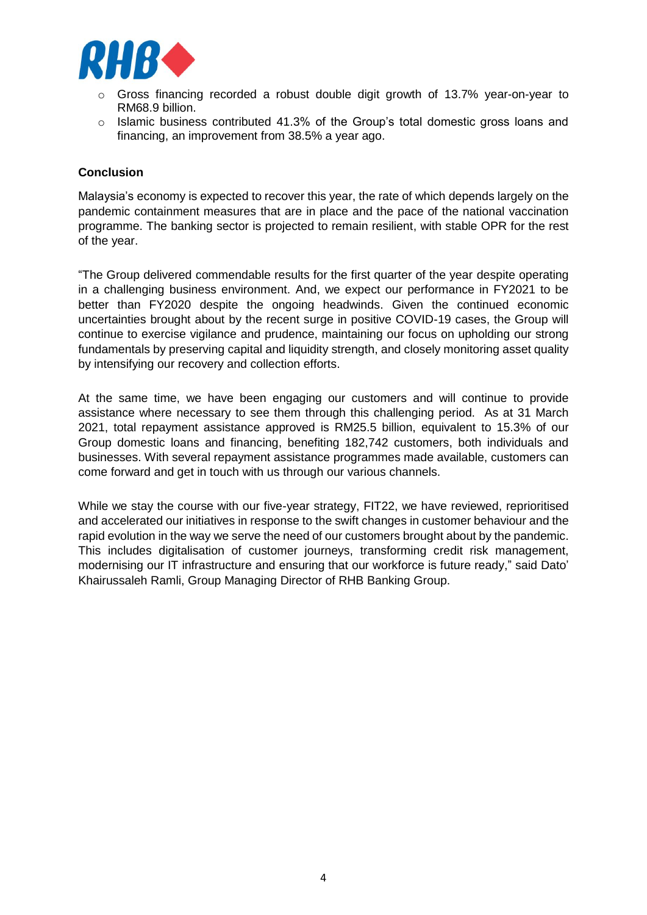

- Gross financing recorded a robust double digit growth of 13.7% year-on-year to RM68.9 billion.
- $\circ$  Islamic business contributed 41.3% of the Group's total domestic gross loans and financing, an improvement from 38.5% a year ago.

#### **Conclusion**

Malaysia's economy is expected to recover this year, the rate of which depends largely on the pandemic containment measures that are in place and the pace of the national vaccination programme. The banking sector is projected to remain resilient, with stable OPR for the rest of the year.

"The Group delivered commendable results for the first quarter of the year despite operating in a challenging business environment. And, we expect our performance in FY2021 to be better than FY2020 despite the ongoing headwinds. Given the continued economic uncertainties brought about by the recent surge in positive COVID-19 cases, the Group will continue to exercise vigilance and prudence, maintaining our focus on upholding our strong fundamentals by preserving capital and liquidity strength, and closely monitoring asset quality by intensifying our recovery and collection efforts.

At the same time, we have been engaging our customers and will continue to provide assistance where necessary to see them through this challenging period. As at 31 March 2021, total repayment assistance approved is RM25.5 billion, equivalent to 15.3% of our Group domestic loans and financing, benefiting 182,742 customers, both individuals and businesses. With several repayment assistance programmes made available, customers can come forward and get in touch with us through our various channels.

While we stay the course with our five-year strategy, FIT22, we have reviewed, reprioritised and accelerated our initiatives in response to the swift changes in customer behaviour and the rapid evolution in the way we serve the need of our customers brought about by the pandemic. This includes digitalisation of customer journeys, transforming credit risk management, modernising our IT infrastructure and ensuring that our workforce is future ready," said Dato' Khairussaleh Ramli, Group Managing Director of RHB Banking Group.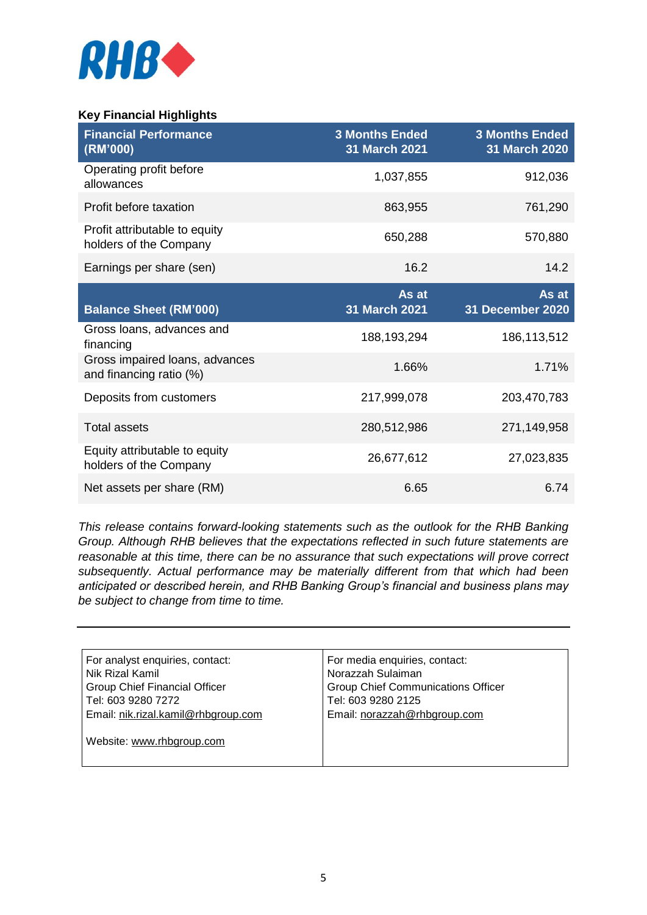

# **Key Financial Highlights**

| <b>Financial Performance</b><br>(RM'000)                  | <b>3 Months Ended</b><br>31 March 2021 | <b>3 Months Ended</b><br>31 March 2020 |
|-----------------------------------------------------------|----------------------------------------|----------------------------------------|
| Operating profit before<br>allowances                     | 1,037,855                              | 912,036                                |
| Profit before taxation                                    | 863,955                                | 761,290                                |
| Profit attributable to equity<br>holders of the Company   | 650,288                                | 570,880                                |
| Earnings per share (sen)                                  | 16.2                                   | 14.2                                   |
| <b>Balance Sheet (RM'000)</b>                             | As at<br>31 March 2021                 | As at<br>31 December 2020              |
| Gross loans, advances and<br>financing                    | 188,193,294                            | 186,113,512                            |
| Gross impaired loans, advances<br>and financing ratio (%) | 1.66%                                  | 1.71%                                  |
| Deposits from customers                                   | 217,999,078                            | 203,470,783                            |
| <b>Total assets</b>                                       | 280,512,986                            | 271,149,958                            |
| Equity attributable to equity<br>holders of the Company   | 26,677,612                             | 27,023,835                             |
| Net assets per share (RM)                                 | 6.65                                   | 6.74                                   |

*This release contains forward-looking statements such as the outlook for the RHB Banking Group. Although RHB believes that the expectations reflected in such future statements are reasonable at this time, there can be no assurance that such expectations will prove correct subsequently. Actual performance may be materially different from that which had been anticipated or described herein, and RHB Banking Group's financial and business plans may be subject to change from time to time.* 

| For analyst enquiries, contact:      | For media enquiries, contact:             |  |
|--------------------------------------|-------------------------------------------|--|
| Nik Rizal Kamil                      | Norazzah Sulaiman                         |  |
| <b>Group Chief Financial Officer</b> | <b>Group Chief Communications Officer</b> |  |
| Tel: 603 9280 7272                   | Tel: 603 9280 2125                        |  |
| Email: nik.rizal.kamil@rhbgroup.com  | Email: norazzah@rhbgroup.com              |  |
|                                      |                                           |  |
| Website: www.rhbgroup.com            |                                           |  |
|                                      |                                           |  |
|                                      |                                           |  |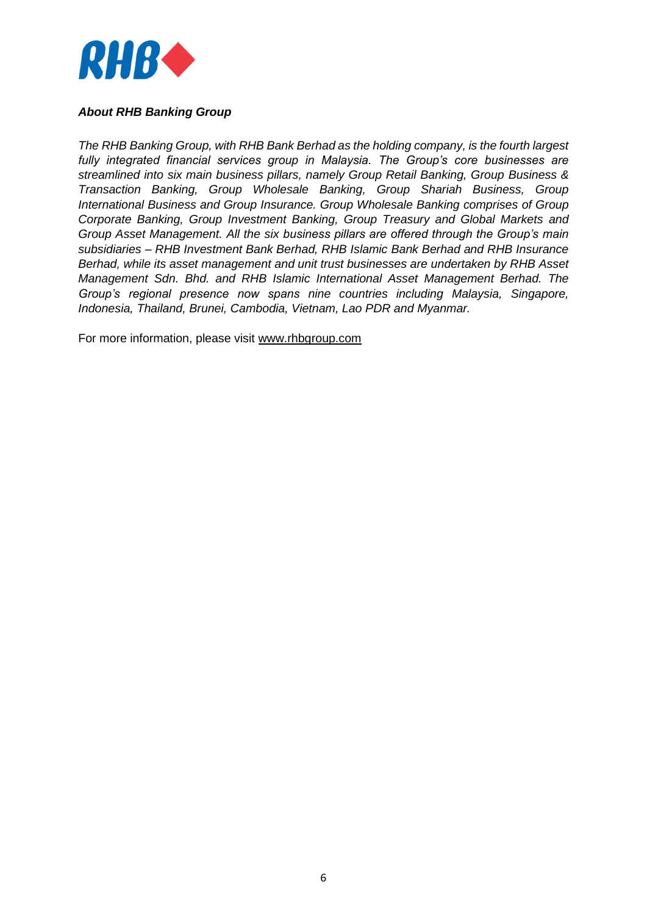

## *About RHB Banking Group*

*The RHB Banking Group, with RHB Bank Berhad as the holding company, is the fourth largest fully integrated financial services group in Malaysia. The Group's core businesses are streamlined into six main business pillars, namely Group Retail Banking, Group Business & Transaction Banking, Group Wholesale Banking, Group Shariah Business, Group International Business and Group Insurance. Group Wholesale Banking comprises of Group Corporate Banking, Group Investment Banking, Group Treasury and Global Markets and Group Asset Management. All the six business pillars are offered through the Group's main subsidiaries – RHB Investment Bank Berhad, RHB Islamic Bank Berhad and RHB Insurance Berhad, while its asset management and unit trust businesses are undertaken by RHB Asset Management Sdn. Bhd. and RHB Islamic International Asset Management Berhad. The Group's regional presence now spans nine countries including Malaysia, Singapore, Indonesia, Thailand, Brunei, Cambodia, Vietnam, Lao PDR and Myanmar.*

For more information, please visit [www.rhbgroup.com](http://www.rhbgroup.com/)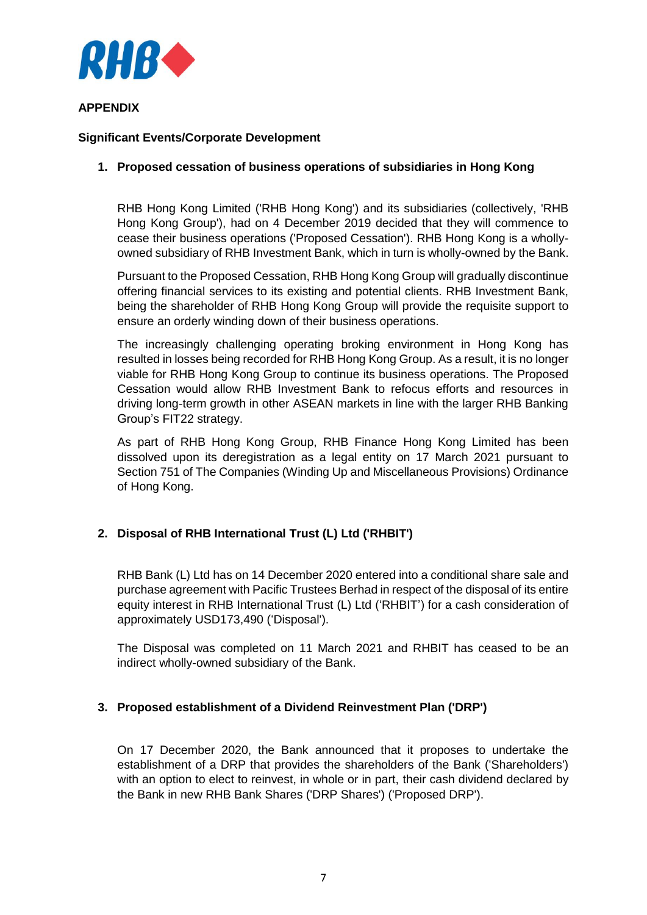

## **APPENDIX**

## **Significant Events/Corporate Development**

## **1. Proposed cessation of business operations of subsidiaries in Hong Kong**

RHB Hong Kong Limited ('RHB Hong Kong') and its subsidiaries (collectively, 'RHB Hong Kong Group'), had on 4 December 2019 decided that they will commence to cease their business operations ('Proposed Cessation'). RHB Hong Kong is a whollyowned subsidiary of RHB Investment Bank, which in turn is wholly-owned by the Bank.

Pursuant to the Proposed Cessation, RHB Hong Kong Group will gradually discontinue offering financial services to its existing and potential clients. RHB Investment Bank, being the shareholder of RHB Hong Kong Group will provide the requisite support to ensure an orderly winding down of their business operations.

The increasingly challenging operating broking environment in Hong Kong has resulted in losses being recorded for RHB Hong Kong Group. As a result, it is no longer viable for RHB Hong Kong Group to continue its business operations. The Proposed Cessation would allow RHB Investment Bank to refocus efforts and resources in driving long-term growth in other ASEAN markets in line with the larger RHB Banking Group's FIT22 strategy.

As part of RHB Hong Kong Group, RHB Finance Hong Kong Limited has been dissolved upon its deregistration as a legal entity on 17 March 2021 pursuant to Section 751 of The Companies (Winding Up and Miscellaneous Provisions) Ordinance of Hong Kong.

# **2. Disposal of RHB International Trust (L) Ltd ('RHBIT')**

RHB Bank (L) Ltd has on 14 December 2020 entered into a conditional share sale and purchase agreement with Pacific Trustees Berhad in respect of the disposal of its entire equity interest in RHB International Trust (L) Ltd ('RHBIT') for a cash consideration of approximately USD173,490 ('Disposal').

The Disposal was completed on 11 March 2021 and RHBIT has ceased to be an indirect wholly-owned subsidiary of the Bank.

### **3. Proposed establishment of a Dividend Reinvestment Plan ('DRP')**

On 17 December 2020, the Bank announced that it proposes to undertake the establishment of a DRP that provides the shareholders of the Bank ('Shareholders') with an option to elect to reinvest, in whole or in part, their cash dividend declared by the Bank in new RHB Bank Shares ('DRP Shares') ('Proposed DRP').